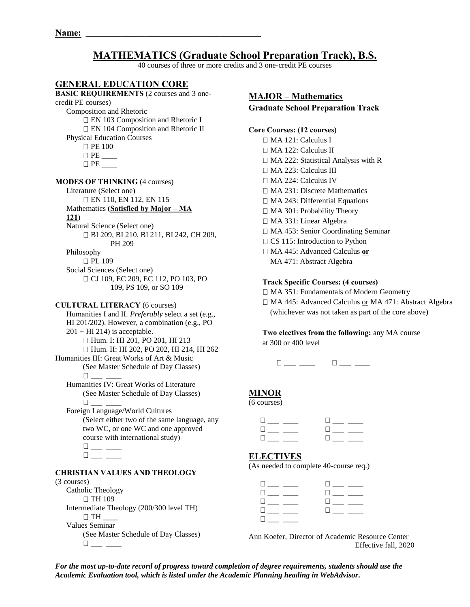#### **MATHEMATICS (Graduate School Preparation Track), B.S.**  40 courses of three or more credits and 3 one-credit PE courses **GENERAL EDUCATION CORE BASIC REQUIREMENTS** (2 courses and 3 onecredit PE courses) Composition and Rhetoric □ EN 103 Composition and Rhetoric I □ EN 104 Composition and Rhetoric II Physical Education Courses □ PE 100 PE \_\_\_\_  $\Box$  PE **MODES OF THINKING** (4 courses) Literature (Select one) EN 110, EN 112, EN 115 Mathematics **(Satisfied by Major – MA 121)** Natural Science (Select one) BI 209, BI 210, BI 211, BI 242, CH 209, PH 209 Philosophy □ PL 109 Social Sciences (Select one) □ CJ 109, EC 209, EC 112, PO 103, PO 109, PS 109, or SO 109 **CULTURAL LITERACY** (6 courses) Humanities I and II. *Preferably* select a set (e.g., HI 201/202). However, a combination (e.g., PO  $201 + HI$  214) is acceptable. □ Hum. I: HI 201, PO 201, HI 213 Hum. II: HI 202, PO 202, HI 214, HI 262 Humanities III: Great Works of Art & Music (See Master Schedule of Day Classes)  $\Box$  Humanities IV: Great Works of Literature (See Master Schedule of Day Classes)  $\Box$  Foreign Language/World Cultures (Select either two of the same language, any two WC, or one WC and one approved course with international study)  $\square_{\textit{max}} \xrightarrow{\hspace*{1.5cm}}$  $\square_{\textit{max}} \xrightarrow{\hspace*{1.5cm}}$ **CHRISTIAN VALUES AND THEOLOGY**  (3 courses) Catholic Theology **MAJOR – Mathematics Graduate School Preparation Track Core Courses: (12 courses)** MA 121: Calculus I MA 122: Calculus II □ MA 222: Statistical Analysis with R MA 223: Calculus III MA 224: Calculus IV MA 231: Discrete Mathematics  $\Box$  MA 243: Differential Equations MA 301: Probability Theory MA 331: Linear Algebra MA 453: Senior Coordinating Seminar  $\Box$  CS 115: Introduction to Python MA 445: Advanced Calculus **or** MA 471: Abstract Algebra **Track Specific Courses: (4 courses)**  MA 351: Fundamentals of Modern Geometry □ MA 445: Advanced Calculus or MA 471: Abstract Algebra (whichever was not taken as part of the core above) **Two electives from the following:** any MA course at 300 or 400 level  $\Box$  \_\_ \_\_ \_ \_ \_ \_ \_ \_ \_ \_ \_ \_ **MINOR** (6 courses) \_\_\_ \_\_\_\_ \_\_\_ \_\_\_\_ \_\_\_ \_\_\_\_ \_\_\_ \_\_\_\_ \_\_\_ \_\_\_\_ \_\_\_ \_\_\_\_ **ELECTIVES**  (As needed to complete 40-course req.)  $\begin{array}{cccc} 0 & \!\!\! \perp \!\!\! \perp \!\!\! & & & \!\!\! 0 \!\!\! \perp \!\!\! \perp \!\!\! & & & \!\!\! 0 \!\!\! \perp \!\!\! \perp \!\!\! & & & \!\!\! 0 \!\!\! \perp \!\!\! & & & \!\!\! \perp \!\!\! \perp \!\!\! \end{array}$ \_\_\_ \_\_\_\_ \_\_\_ \_\_\_\_

 $\Box$  TH 109 Intermediate Theology (200/300 level TH)  $\Box$  TH Values Seminar (See Master Schedule of Day Classes)  $\square_{\lrcorner\ldots\lrcorner\ldots\lrcorner}$ 

Ann Koefer, Director of Academic Resource Center Effective fall, 2020

 \_\_\_ \_\_\_\_ \_\_\_ \_\_\_\_  $\Box \hspace{0.75cm} \bot \hspace{0.75cm} \bot \hspace{0.75cm} \bot \hspace{0.75cm} \bot \hspace{0.75cm} \bot \hspace{0.75cm} \bot \hspace{0.75cm} \bot \hspace{0.75cm} \bot \hspace{0.75cm} \bot \hspace{0.75cm} \bot \hspace{0.75cm} \bot \hspace{0.75cm} \bot \hspace{0.75cm} \bot \hspace{0.75cm} \bot \hspace{0.75cm} \bot \hspace{0.75cm} \bot \hspace{0.75cm} \bot \hspace{0.75cm} \bot \hs$ 

 $\Box$  \_ \_

*For the most up-to-date record of progress toward completion of degree requirements, students should use the Academic Evaluation tool, which is listed under the Academic Planning heading in WebAdvisor.*